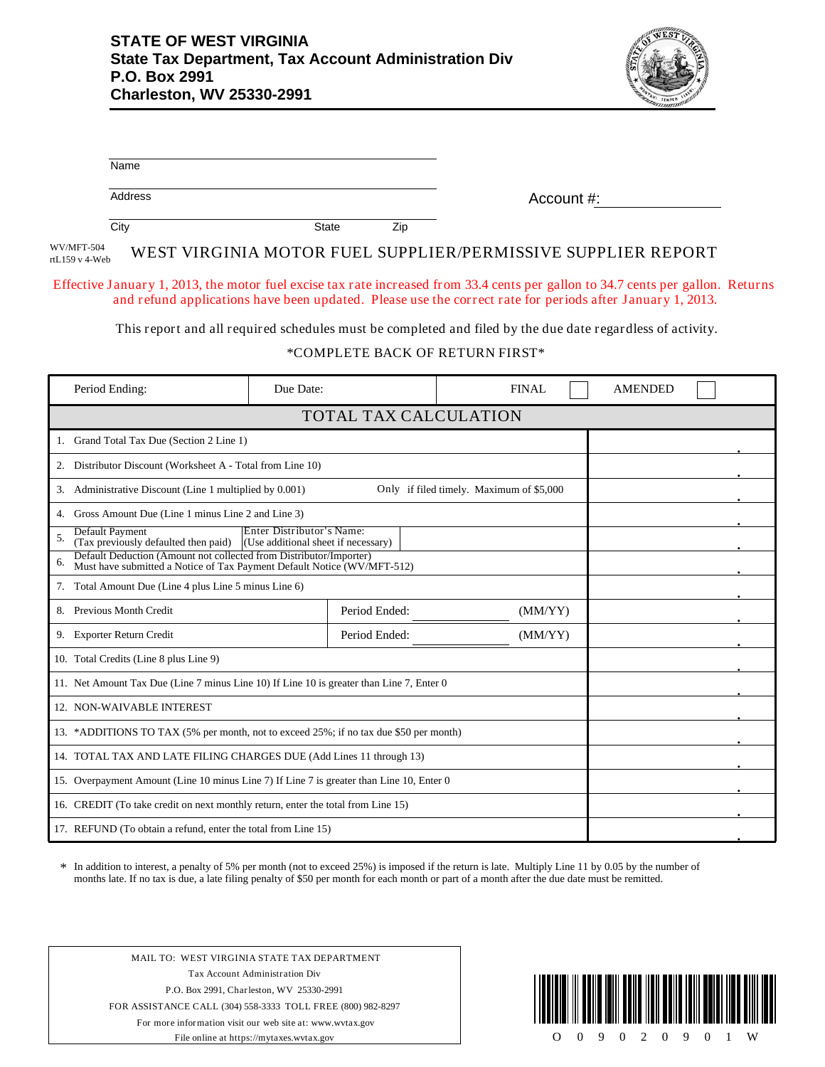

| Name                                                                                                                                                |                                                                                                            |              |                |  |  |  |  |
|-----------------------------------------------------------------------------------------------------------------------------------------------------|------------------------------------------------------------------------------------------------------------|--------------|----------------|--|--|--|--|
| Address                                                                                                                                             |                                                                                                            | Account #:   |                |  |  |  |  |
| City                                                                                                                                                | <b>State</b><br>Zip                                                                                        |              |                |  |  |  |  |
| WV/MFT-504<br>rtL159 v 4-Web                                                                                                                        | WEST VIRGINIA MOTOR FUEL SUPPLIER/PERMISSIVE SUPPLIER REPORT                                               |              |                |  |  |  |  |
| Effective January 1, 2013, the motor fuel excise tax rate increased from 33.4 cents per gallon to 34.7 cents per gallon. Returns                    | and refund applications have been updated. Please use the correct rate for periods after January 1, 2013.  |              |                |  |  |  |  |
|                                                                                                                                                     | This report and all required schedules must be completed and filed by the due date regardless of activity. |              |                |  |  |  |  |
| *COMPLETE BACK OF RETURN FIRST*                                                                                                                     |                                                                                                            |              |                |  |  |  |  |
| Period Ending:                                                                                                                                      | Due Date:                                                                                                  | <b>FINAL</b> | <b>AMENDED</b> |  |  |  |  |
|                                                                                                                                                     | TOTAL TAX CALCULATION                                                                                      |              |                |  |  |  |  |
| 1. Grand Total Tax Due (Section 2 Line 1)                                                                                                           |                                                                                                            |              |                |  |  |  |  |
| 2. Distributor Discount (Worksheet A - Total from Line 10)                                                                                          |                                                                                                            |              |                |  |  |  |  |
| 3. Administrative Discount (Line 1 multiplied by 0.001)                                                                                             |                                                                                                            |              |                |  |  |  |  |
| 4. Gross Amount Due (Line 1 minus Line 2 and Line 3)                                                                                                |                                                                                                            |              |                |  |  |  |  |
| Default Payment<br>Enter Distributor's Name:<br>5.<br>(Tax previously defaulted then paid)<br>(Use additional sheet if necessary)                   |                                                                                                            |              |                |  |  |  |  |
| Default Deduction (Amount not collected from Distributor/Importer)<br>6.<br>Must have submitted a Notice of Tax Payment Default Notice (WV/MFT-512) |                                                                                                            |              |                |  |  |  |  |
| 7. Total Amount Due (Line 4 plus Line 5 minus Line 6)                                                                                               |                                                                                                            |              |                |  |  |  |  |
| 8. Previous Month Credit                                                                                                                            | Period Ended:                                                                                              | (MM/YY)      |                |  |  |  |  |
| 9. Exporter Return Credit                                                                                                                           | Period Ended:                                                                                              | (MM/YY)      |                |  |  |  |  |
| 10. Total Credits (Line 8 plus Line 9)                                                                                                              |                                                                                                            |              |                |  |  |  |  |
| 11. Net Amount Tax Due (Line 7 minus Line 10) If Line 10 is greater than Line 7, Enter 0                                                            |                                                                                                            |              |                |  |  |  |  |
| 12. NON-WAIVABLE INTEREST                                                                                                                           |                                                                                                            |              |                |  |  |  |  |
| 13. *ADDITIONS TO TAX (5% per month, not to exceed 25%; if no tax due \$50 per month)                                                               |                                                                                                            |              |                |  |  |  |  |
| 14. TOTAL TAX AND LATE FILING CHARGES DUE (Add Lines 11 through 13)                                                                                 |                                                                                                            |              |                |  |  |  |  |
| 15. Overpayment Amount (Line 10 minus Line 7) If Line 7 is greater than Line 10, Enter 0                                                            |                                                                                                            |              |                |  |  |  |  |
| 16. CREDIT (To take credit on next monthly return, enter the total from Line 15)                                                                    |                                                                                                            |              |                |  |  |  |  |
| 17. REFUND (To obtain a refund, enter the total from Line 15)                                                                                       |                                                                                                            |              |                |  |  |  |  |

In addition to interest, a penalty of 5% per month (not to exceed 25%) is imposed if the return is late. Multiply Line 11 by 0.05 by the number of months late. If no tax is due, a late filing penalty of \$50 per month for each month or part of a month after the due date must be remitted. \*

MAIL TO: WEST VIRGINIA STATE TAX DEPARTMENT Tax Account Administration Div P.O. Box 2991, Charleston, WV 25330-2991 FOR ASSISTANCE CALL (304) 558-3333 TOLL FREE (800) 982-8297 For more information visit our web site at: www.wvtax.gov File online at https://mytaxes.wvtax.gov